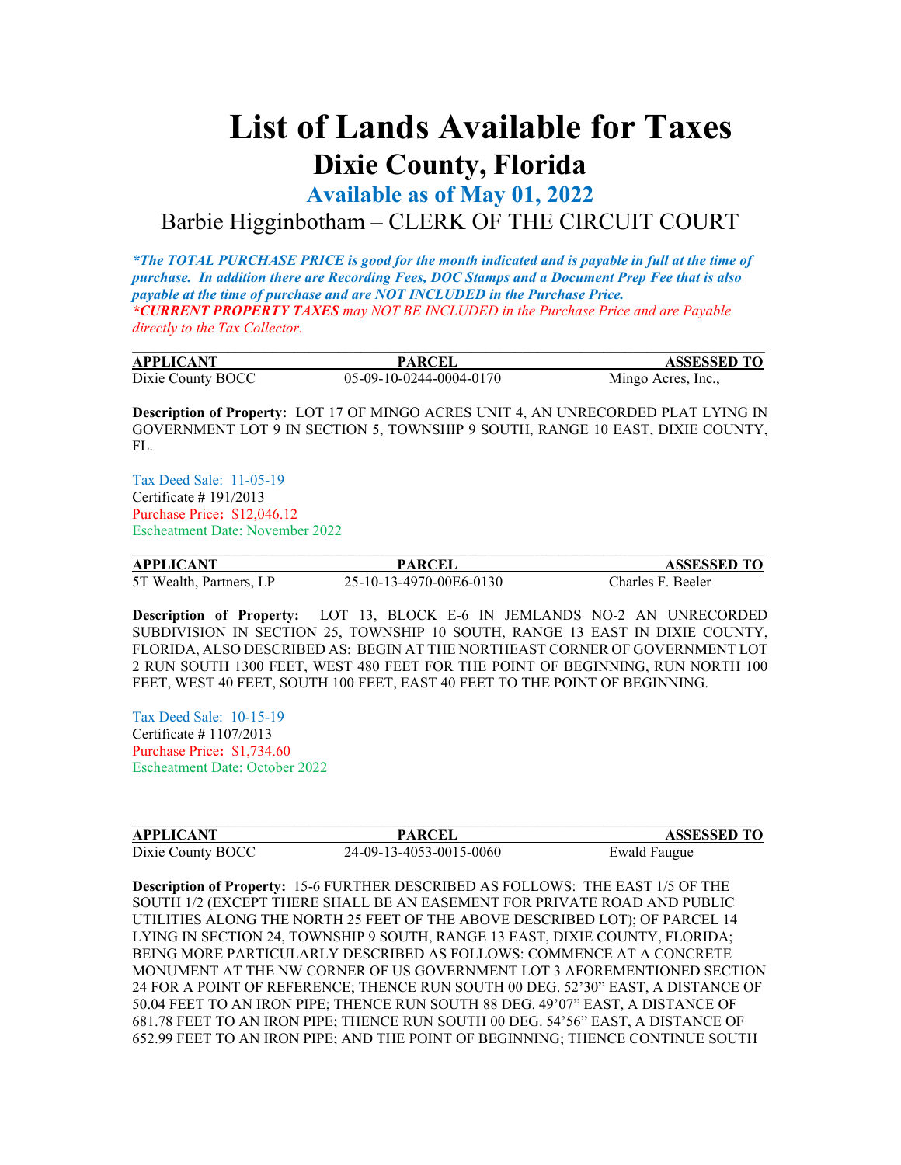## **List of Lands Available for Taxes Dixie County, Florida**

**Available as of May 01, 2022**

## Barbie Higginbotham – CLERK OF THE CIRCUIT COURT

*\*The TOTAL PURCHASE PRICE is good for the month indicated and is payable in full at the time of purchase. In addition there are Recording Fees, DOC Stamps and a Document Prep Fee that is also payable at the time of purchase and are NOT INCLUDED in the Purchase Price. \*CURRENT PROPERTY TAXES may NOT BE INCLUDED in the Purchase Price and are Payable directly to the Tax Collector.*

| <b>APPLICANT</b>  | <b>PARCEI</b>           | <b>ASSESSED TO</b> |
|-------------------|-------------------------|--------------------|
| Dixie County BOCC | 05-09-10-0244-0004-0170 | Mingo Acres, Inc., |

**Description of Property:** LOT 17 OF MINGO ACRES UNIT 4, AN UNRECORDED PLAT LYING IN GOVERNMENT LOT 9 IN SECTION 5, TOWNSHIP 9 SOUTH, RANGE 10 EAST, DIXIE COUNTY, FL.

Tax Deed Sale: 11-05-19 Certificate **#** 191/2013 Purchase Price**:** \$12,046.12 Escheatment Date: November 2022

| <b>APPLICANT</b>        | <b>PARCEL</b>           | <b>ASSESSED TO</b> |
|-------------------------|-------------------------|--------------------|
| 5T Wealth, Partners, LP | 25-10-13-4970-00E6-0130 | Charles F. Beeler  |

**Description of Property:** LOT 13, BLOCK E-6 IN JEMLANDS NO-2 AN UNRECORDED SUBDIVISION IN SECTION 25, TOWNSHIP 10 SOUTH, RANGE 13 EAST IN DIXIE COUNTY, FLORIDA, ALSO DESCRIBED AS: BEGIN AT THE NORTHEAST CORNER OF GOVERNMENT LOT 2 RUN SOUTH 1300 FEET, WEST 480 FEET FOR THE POINT OF BEGINNING, RUN NORTH 100 FEET, WEST 40 FEET, SOUTH 100 FEET, EAST 40 FEET TO THE POINT OF BEGINNING.

Tax Deed Sale: 10-15-19 Certificate **#** 1107/2013 Purchase Price**:** \$1,734.60 Escheatment Date: October 2022

| <b>APPLICANT</b>  | <b>PARCEI</b>           | <b>ASSESSED TO</b>  |
|-------------------|-------------------------|---------------------|
| Dixie County BOCC | 24-09-13-4053-0015-0060 | <b>Ewald Faugue</b> |

**Description of Property:** 15-6 FURTHER DESCRIBED AS FOLLOWS: THE EAST 1/5 OF THE SOUTH 1/2 (EXCEPT THERE SHALL BE AN EASEMENT FOR PRIVATE ROAD AND PUBLIC UTILITIES ALONG THE NORTH 25 FEET OF THE ABOVE DESCRIBED LOT); OF PARCEL 14 LYING IN SECTION 24, TOWNSHIP 9 SOUTH, RANGE 13 EAST, DIXIE COUNTY, FLORIDA; BEING MORE PARTICULARLY DESCRIBED AS FOLLOWS: COMMENCE AT A CONCRETE MONUMENT AT THE NW CORNER OF US GOVERNMENT LOT 3 AFOREMENTIONED SECTION 24 FOR A POINT OF REFERENCE; THENCE RUN SOUTH 00 DEG. 52'30" EAST, A DISTANCE OF 50.04 FEET TO AN IRON PIPE; THENCE RUN SOUTH 88 DEG. 49'07" EAST, A DISTANCE OF 681.78 FEET TO AN IRON PIPE; THENCE RUN SOUTH 00 DEG. 54'56" EAST, A DISTANCE OF 652.99 FEET TO AN IRON PIPE; AND THE POINT OF BEGINNING; THENCE CONTINUE SOUTH